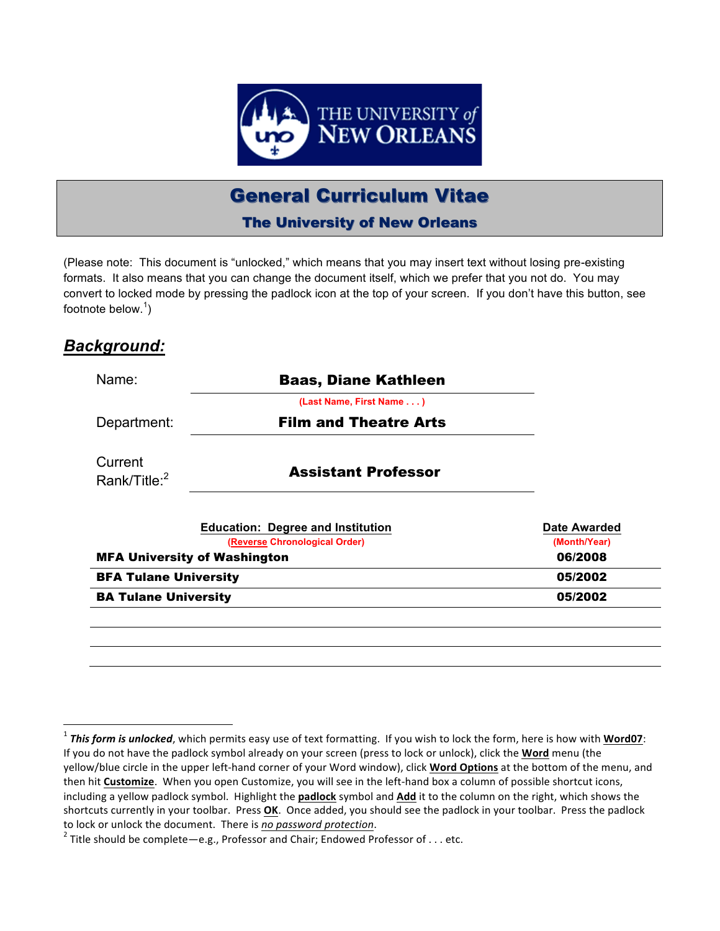

# **General Curriculum Vitae**

The University of New Orleans

(Please note: This document is "unlocked," which means that you may insert text without losing pre-existing formats. It also means that you can change the document itself, which we prefer that you not do. You may convert to locked mode by pressing the padlock icon at the top of your screen. If you don't have this button, see footnote below.<sup>1</sup>)

# *Background:*

<u> 1989 - Johann Barn, mars eta bat erroman erroman erroman erroman erroman erroman erroman erroman erroman err</u>

| Name:                               | <b>Baas, Diane Kathleen</b>                                               |                                     |
|-------------------------------------|---------------------------------------------------------------------------|-------------------------------------|
|                                     | (Last Name, First Name )                                                  |                                     |
| Department:                         | <b>Film and Theatre Arts</b>                                              |                                     |
| Current<br>Rank/Title: <sup>2</sup> | <b>Assistant Professor</b>                                                |                                     |
|                                     | <b>Education: Degree and Institution</b><br>(Reverse Chronological Order) | <b>Date Awarded</b><br>(Month/Year) |
| <b>MFA University of Washington</b> |                                                                           | 06/2008                             |
| <b>BFA Tulane University</b>        |                                                                           | 05/2002                             |
| <b>BA Tulane University</b>         |                                                                           | 05/2002                             |
|                                     |                                                                           |                                     |
|                                     |                                                                           |                                     |
|                                     |                                                                           |                                     |

<sup>&</sup>lt;sup>1</sup> This form is unlocked, which permits easy use of text formatting. If you wish to lock the form, here is how with Word07: If you do not have the padlock symbol already on your screen (press to lock or unlock), click the **Word** menu (the yellow/blue circle in the upper left-hand corner of your Word window), click **Word Options** at the bottom of the menu, and then hit **Customize**. When you open Customize, you will see in the left-hand box a column of possible shortcut icons, including a yellow padlock symbol. Highlight the **padlock** symbol and **Add** it to the column on the right, which shows the shortcuts currently in your toolbar. Press **OK**. Once added, you should see the padlock in your toolbar. Press the padlock

to lock or unlock the document. There is *no password protection*.<br><sup>2</sup> Title should be complete—e.g., Professor and Chair; Endowed Professor of . . . etc.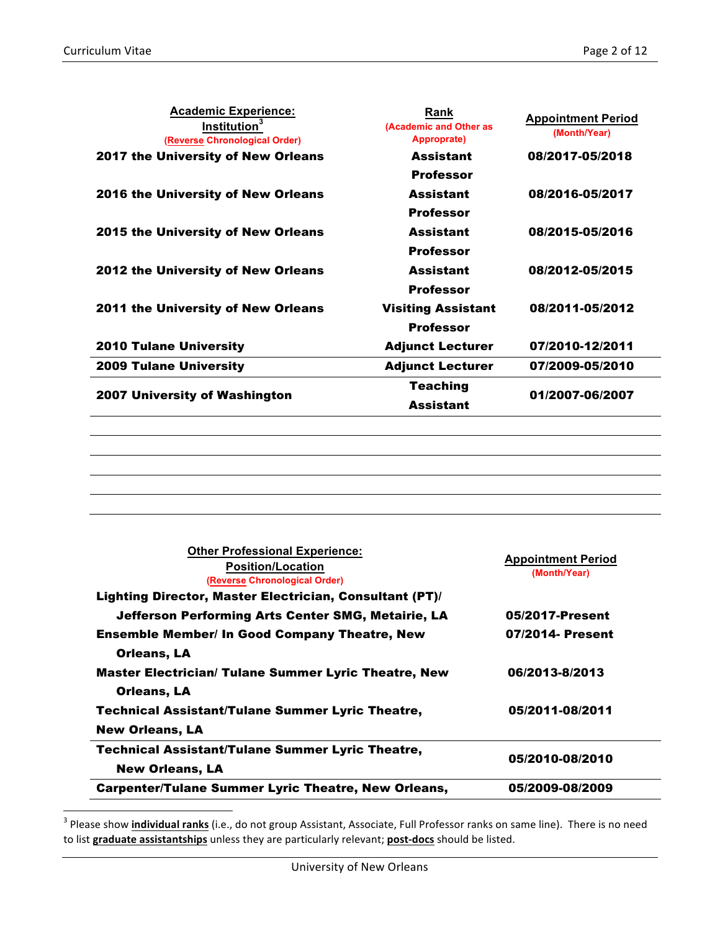<u> 1989 - Johann Barn, mars eta bat erroman erroman erroman erroman erroman erroman erroman erroman erroman err</u>

| <b>Academic Experience:</b><br>Institution <sup>3</sup><br>(Reverse Chronological Order) | Rank<br>(Academic and Other as<br>Approprate) | <b>Appointment Period</b><br>(Month/Year) |  |
|------------------------------------------------------------------------------------------|-----------------------------------------------|-------------------------------------------|--|
| 2017 the University of New Orleans                                                       | <b>Assistant</b>                              | 08/2017-05/2018                           |  |
|                                                                                          | Professor                                     |                                           |  |
| 2016 the University of New Orleans                                                       | <b>Assistant</b>                              | 08/2016-05/2017                           |  |
|                                                                                          | Professor                                     |                                           |  |
| <b>2015 the University of New Orleans</b>                                                | <b>Assistant</b>                              | 08/2015-05/2016                           |  |
|                                                                                          | Professor                                     |                                           |  |
| <b>2012 the University of New Orleans</b>                                                | <b>Assistant</b>                              | 08/2012-05/2015                           |  |
|                                                                                          | Professor                                     |                                           |  |
| <b>2011 the University of New Orleans</b>                                                | <b>Visiting Assistant</b>                     | 08/2011-05/2012                           |  |
|                                                                                          | <b>Professor</b>                              |                                           |  |
| <b>2010 Tulane University</b>                                                            | <b>Adjunct Lecturer</b>                       | 07/2010-12/2011                           |  |
| <b>2009 Tulane University</b>                                                            | <b>Adjunct Lecturer</b>                       | 07/2009-05/2010                           |  |
|                                                                                          | <b>Teaching</b>                               |                                           |  |
| <b>2007 University of Washington</b>                                                     | <b>Assistant</b>                              | 01/2007-06/2007                           |  |
|                                                                                          |                                               |                                           |  |

| <b>Other Professional Experience:</b><br><b>Position/Location</b><br>(Reverse Chronological Order)<br>Lighting Director, Master Electrician, Consultant (PT)/ | <b>Appointment Period</b><br>(Month/Year) |
|---------------------------------------------------------------------------------------------------------------------------------------------------------------|-------------------------------------------|
| Jefferson Performing Arts Center SMG, Metairie, LA                                                                                                            | 05/2017-Present                           |
| <b>Ensemble Member/ In Good Company Theatre, New</b>                                                                                                          | 07/2014- Present                          |
| Orleans, LA                                                                                                                                                   |                                           |
| <b>Master Electrician/ Tulane Summer Lyric Theatre, New</b>                                                                                                   | 06/2013-8/2013                            |
| Orleans, LA                                                                                                                                                   |                                           |
| <b>Technical Assistant/Tulane Summer Lyric Theatre,</b>                                                                                                       | 05/2011-08/2011                           |
| <b>New Orleans, LA</b>                                                                                                                                        |                                           |
| <b>Technical Assistant/Tulane Summer Lyric Theatre,</b>                                                                                                       | 05/2010-08/2010                           |
| <b>New Orleans, LA</b>                                                                                                                                        |                                           |
| <b>Carpenter/Tulane Summer Lyric Theatre, New Orleans,</b>                                                                                                    | 05/2009-08/2009                           |

<sup>&</sup>lt;sup>3</sup> Please show <u>i**ndividual ranks**</u> (i.e., do not group Assistant, Associate, Full Professor ranks on same line). There is no need to list graduate assistantships unless they are particularly relevant; post-docs should be listed.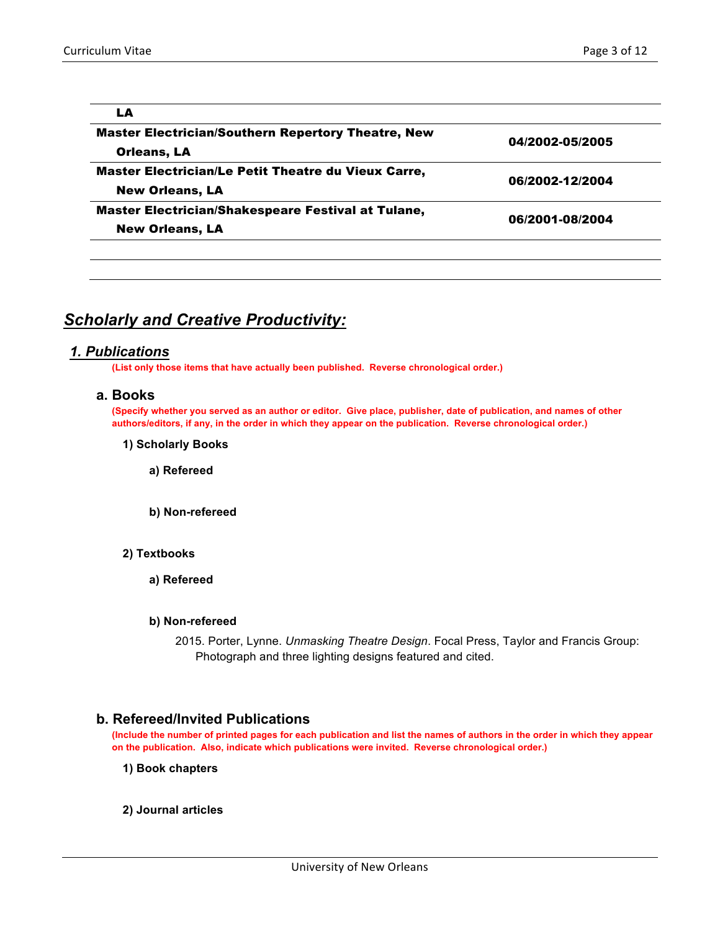| LA                                                        |                 |
|-----------------------------------------------------------|-----------------|
| <b>Master Electrician/Southern Repertory Theatre, New</b> | 04/2002-05/2005 |
| Orleans, LA                                               |                 |
| Master Electrician/Le Petit Theatre du Vieux Carre,       | 06/2002-12/2004 |
| <b>New Orleans, LA</b>                                    |                 |
| Master Electrician/Shakespeare Festival at Tulane,        | 06/2001-08/2004 |
| <b>New Orleans, LA</b>                                    |                 |
|                                                           |                 |

# *Scholarly and Creative Productivity:*

### *1. Publications*

**(List only those items that have actually been published. Reverse chronological order.)**

#### **a. Books**

**(Specify whether you served as an author or editor. Give place, publisher, date of publication, and names of other authors/editors, if any, in the order in which they appear on the publication. Reverse chronological order.)**

**1) Scholarly Books**

**a) Refereed**

- **b) Non-refereed**
- **2) Textbooks**
	- **a) Refereed**

### **b) Non-refereed**

2015. Porter, Lynne. *Unmasking Theatre Design*. Focal Press, Taylor and Francis Group: Photograph and three lighting designs featured and cited.

### **b. Refereed/Invited Publications**

**(Include the number of printed pages for each publication and list the names of authors in the order in which they appear on the publication. Also, indicate which publications were invited. Reverse chronological order.)**

**1) Book chapters**

### **2) Journal articles**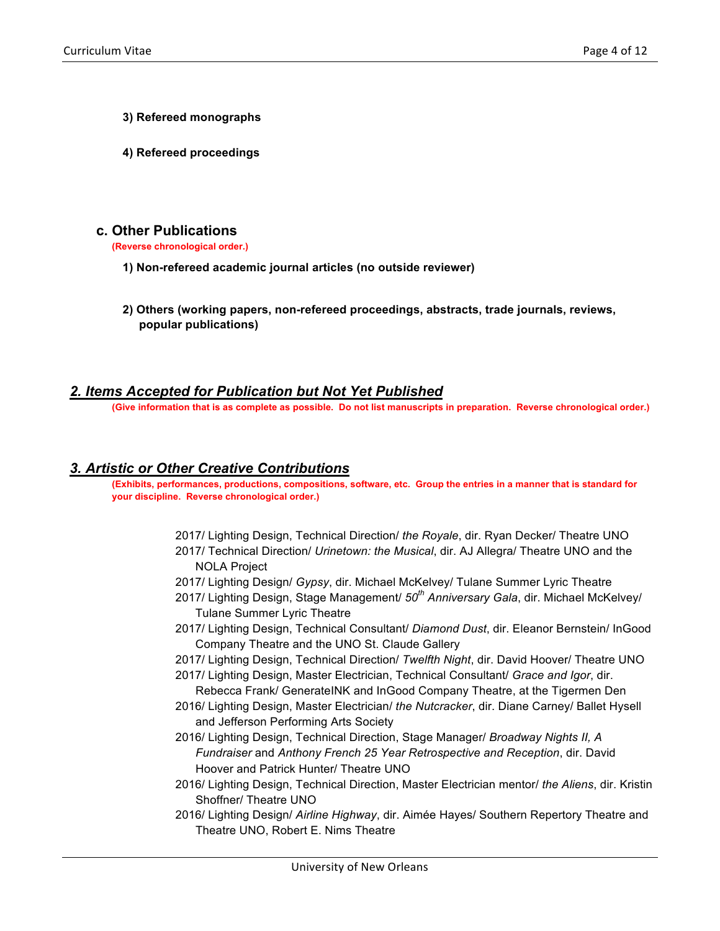- **3) Refereed monographs**
- **4) Refereed proceedings**

# **c. Other Publications**

**(Reverse chronological order.)**

- **1) Non-refereed academic journal articles (no outside reviewer)**
- **2) Others (working papers, non-refereed proceedings, abstracts, trade journals, reviews, popular publications)**

# *2. Items Accepted for Publication but Not Yet Published*

**(Give information that is as complete as possible. Do not list manuscripts in preparation. Reverse chronological order.)**

## *3. Artistic or Other Creative Contributions*

**(Exhibits, performances, productions, compositions, software, etc. Group the entries in a manner that is standard for your discipline. Reverse chronological order.)**

- 2017/ Lighting Design, Technical Direction/ *the Royale*, dir. Ryan Decker/ Theatre UNO 2017/ Technical Direction/ *Urinetown: the Musical*, dir. AJ Allegra/ Theatre UNO and the NOLA Project
- 2017/ Lighting Design/ *Gypsy*, dir. Michael McKelvey/ Tulane Summer Lyric Theatre
- 2017/ Lighting Design, Stage Management/ *50th Anniversary Gala*, dir. Michael McKelvey/ Tulane Summer Lyric Theatre
- 2017/ Lighting Design, Technical Consultant/ *Diamond Dust*, dir. Eleanor Bernstein/ InGood Company Theatre and the UNO St. Claude Gallery
- 2017/ Lighting Design, Technical Direction/ *Twelfth Night*, dir. David Hoover/ Theatre UNO
- 2017/ Lighting Design, Master Electrician, Technical Consultant/ *Grace and Igor*, dir. Rebecca Frank/ GenerateINK and InGood Company Theatre, at the Tigermen Den
- 2016/ Lighting Design, Master Electrician/ *the Nutcracker*, dir. Diane Carney/ Ballet Hysell and Jefferson Performing Arts Society
- 2016/ Lighting Design, Technical Direction, Stage Manager/ *Broadway Nights II, A Fundraiser* and *Anthony French 25 Year Retrospective and Reception*, dir. David Hoover and Patrick Hunter/ Theatre UNO
- 2016/ Lighting Design, Technical Direction, Master Electrician mentor/ *the Aliens*, dir. Kristin Shoffner/ Theatre UNO
- 2016/ Lighting Design/ *Airline Highway*, dir. Aimée Hayes/ Southern Repertory Theatre and Theatre UNO, Robert E. Nims Theatre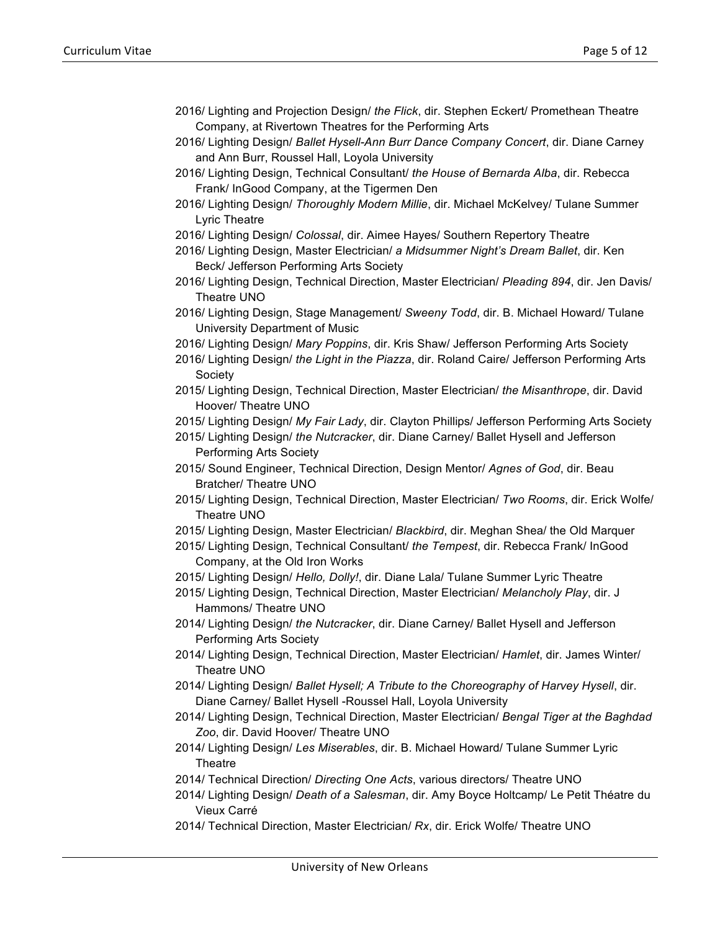- 2016/ Lighting and Projection Design/ *the Flick*, dir. Stephen Eckert/ Promethean Theatre Company, at Rivertown Theatres for the Performing Arts
- 2016/ Lighting Design/ *Ballet Hysell-Ann Burr Dance Company Concert*, dir. Diane Carney and Ann Burr, Roussel Hall, Loyola University
- 2016/ Lighting Design, Technical Consultant/ *the House of Bernarda Alba*, dir. Rebecca Frank/ InGood Company, at the Tigermen Den
- 2016/ Lighting Design/ *Thoroughly Modern Millie*, dir. Michael McKelvey/ Tulane Summer Lyric Theatre
- 2016/ Lighting Design/ *Colossal*, dir. Aimee Hayes/ Southern Repertory Theatre
- 2016/ Lighting Design, Master Electrician/ *a Midsummer Night's Dream Ballet*, dir. Ken Beck/ Jefferson Performing Arts Society
- 2016/ Lighting Design, Technical Direction, Master Electrician/ *Pleading 894*, dir. Jen Davis/ Theatre UNO
- 2016/ Lighting Design, Stage Management/ *Sweeny Todd*, dir. B. Michael Howard/ Tulane University Department of Music
- 2016/ Lighting Design/ *Mary Poppins*, dir. Kris Shaw/ Jefferson Performing Arts Society
- 2016/ Lighting Design/ *the Light in the Piazza*, dir. Roland Caire/ Jefferson Performing Arts Society
- 2015/ Lighting Design, Technical Direction, Master Electrician/ *the Misanthrope*, dir. David Hoover/ Theatre UNO

2015/ Lighting Design/ *My Fair Lady*, dir. Clayton Phillips/ Jefferson Performing Arts Society

2015/ Lighting Design/ *the Nutcracker*, dir. Diane Carney/ Ballet Hysell and Jefferson Performing Arts Society

- 2015/ Sound Engineer, Technical Direction, Design Mentor/ *Agnes of God*, dir. Beau Bratcher/ Theatre UNO
- 2015/ Lighting Design, Technical Direction, Master Electrician/ *Two Rooms*, dir. Erick Wolfe/ Theatre UNO
- 2015/ Lighting Design, Master Electrician/ *Blackbird*, dir. Meghan Shea/ the Old Marquer
- 2015/ Lighting Design, Technical Consultant/ *the Tempest*, dir. Rebecca Frank/ InGood Company, at the Old Iron Works
- 2015/ Lighting Design/ *Hello, Dolly!*, dir. Diane Lala/ Tulane Summer Lyric Theatre
- 2015/ Lighting Design, Technical Direction, Master Electrician/ *Melancholy Play*, dir. J Hammons/ Theatre UNO
- 2014/ Lighting Design/ *the Nutcracker*, dir. Diane Carney/ Ballet Hysell and Jefferson Performing Arts Society
- 2014/ Lighting Design, Technical Direction, Master Electrician/ *Hamlet*, dir. James Winter/ Theatre UNO
- 2014/ Lighting Design/ *Ballet Hysell; A Tribute to the Choreography of Harvey Hysell*, dir. Diane Carney/ Ballet Hysell -Roussel Hall, Loyola University
- 2014/ Lighting Design, Technical Direction, Master Electrician/ *Bengal Tiger at the Baghdad Zoo*, dir. David Hoover/ Theatre UNO
- 2014/ Lighting Design/ *Les Miserables*, dir. B. Michael Howard/ Tulane Summer Lyric **Theatre**
- 2014/ Technical Direction/ *Directing One Acts*, various directors/ Theatre UNO
- 2014/ Lighting Design/ *Death of a Salesman*, dir. Amy Boyce Holtcamp/ Le Petit Théatre du Vieux Carré
- 2014/ Technical Direction, Master Electrician/ *Rx*, dir. Erick Wolfe/ Theatre UNO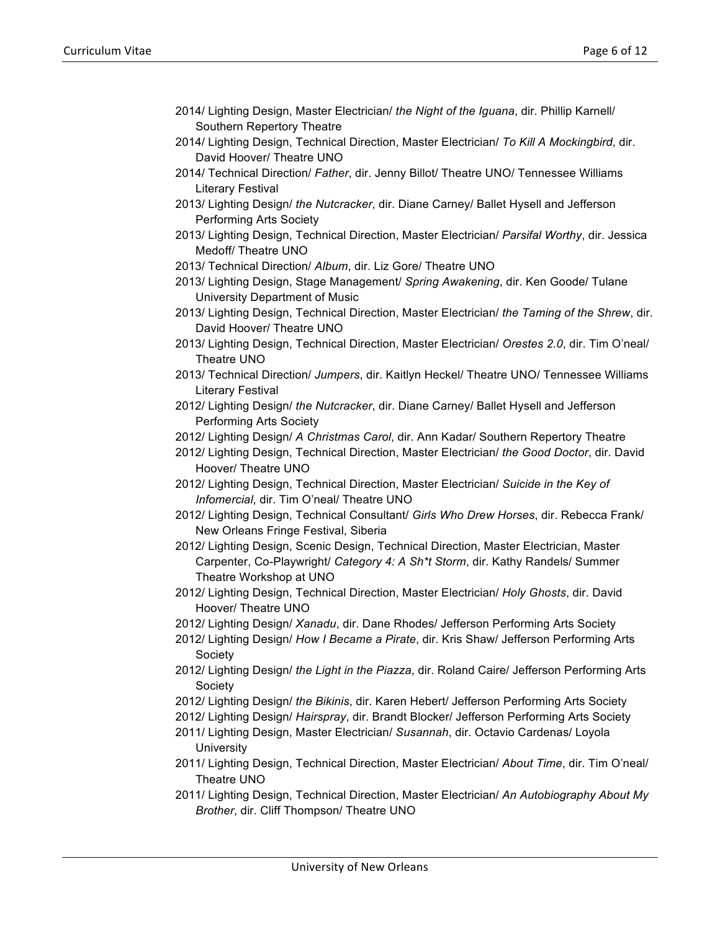- 2014/ Lighting Design, Master Electrician/ *the Night of the Iguana*, dir. Phillip Karnell/ Southern Repertory Theatre
- 2014/ Lighting Design, Technical Direction, Master Electrician/ *To Kill A Mockingbird*, dir. David Hoover/ Theatre UNO
- 2014/ Technical Direction/ *Father*, dir. Jenny Billot/ Theatre UNO/ Tennessee Williams Literary Festival
- 2013/ Lighting Design/ *the Nutcracker*, dir. Diane Carney/ Ballet Hysell and Jefferson Performing Arts Society
- 2013/ Lighting Design, Technical Direction, Master Electrician/ *Parsifal Worthy*, dir. Jessica Medoff/ Theatre UNO
- 2013/ Technical Direction/ *Album*, dir. Liz Gore/ Theatre UNO
- 2013/ Lighting Design, Stage Management/ *Spring Awakening*, dir. Ken Goode/ Tulane University Department of Music
- 2013/ Lighting Design, Technical Direction, Master Electrician/ *the Taming of the Shrew*, dir. David Hoover/ Theatre UNO
- 2013/ Lighting Design, Technical Direction, Master Electrician/ *Orestes 2.0*, dir. Tim O'neal/ Theatre UNO
- 2013/ Technical Direction/ *Jumpers*, dir. Kaitlyn Heckel/ Theatre UNO/ Tennessee Williams Literary Festival
- 2012/ Lighting Design/ *the Nutcracker*, dir. Diane Carney/ Ballet Hysell and Jefferson Performing Arts Society
- 2012/ Lighting Design/ *A Christmas Carol*, dir. Ann Kadar/ Southern Repertory Theatre
- 2012/ Lighting Design, Technical Direction, Master Electrician/ *the Good Doctor*, dir. David Hoover/ Theatre UNO
- 2012/ Lighting Design, Technical Direction, Master Electrician/ *Suicide in the Key of Infomercial*, dir. Tim O'neal/ Theatre UNO
- 2012/ Lighting Design, Technical Consultant/ *Girls Who Drew Horses*, dir. Rebecca Frank/ New Orleans Fringe Festival, Siberia
- 2012/ Lighting Design, Scenic Design, Technical Direction, Master Electrician, Master Carpenter, Co-Playwright/ *Category 4: A Sh\*t Storm*, dir. Kathy Randels/ Summer Theatre Workshop at UNO
- 2012/ Lighting Design, Technical Direction, Master Electrician/ *Holy Ghosts*, dir. David Hoover/ Theatre UNO
- 2012/ Lighting Design/ *Xanadu*, dir. Dane Rhodes/ Jefferson Performing Arts Society
- 2012/ Lighting Design/ *How I Became a Pirate*, dir. Kris Shaw/ Jefferson Performing Arts Society
- 2012/ Lighting Design/ *the Light in the Piazza*, dir. Roland Caire/ Jefferson Performing Arts Society
- 2012/ Lighting Design/ *the Bikinis*, dir. Karen Hebert/ Jefferson Performing Arts Society
- 2012/ Lighting Design/ *Hairspray*, dir. Brandt Blocker/ Jefferson Performing Arts Society
- 2011/ Lighting Design, Master Electrician/ *Susannah*, dir. Octavio Cardenas/ Loyola **University**
- 2011/ Lighting Design, Technical Direction, Master Electrician/ *About Time*, dir. Tim O'neal/ Theatre UNO
- 2011/ Lighting Design, Technical Direction, Master Electrician/ *An Autobiography About My Brother*, dir. Cliff Thompson/ Theatre UNO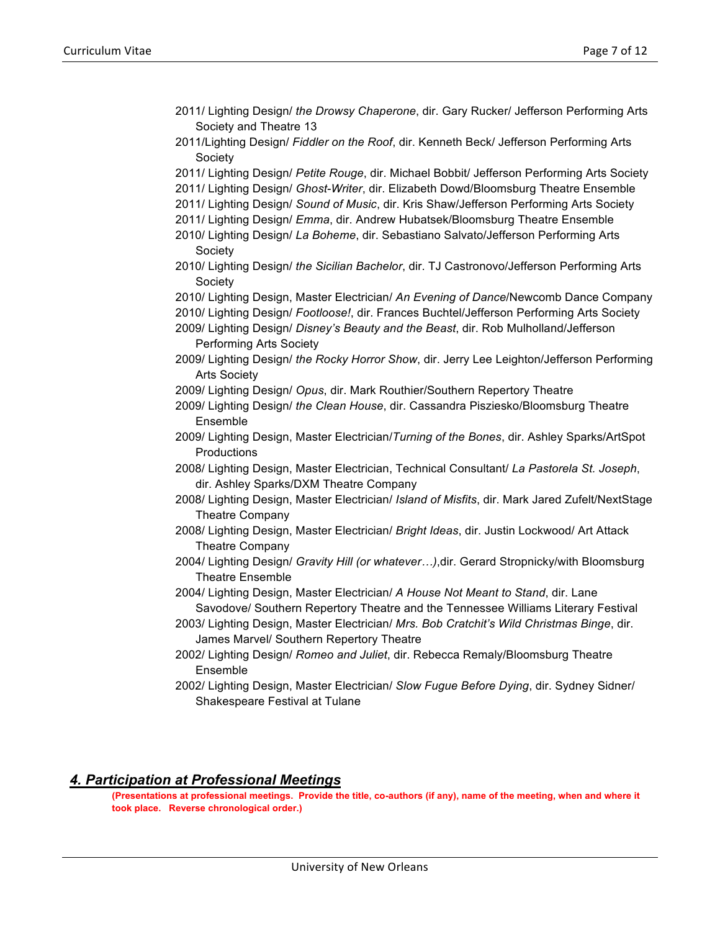- 2011/ Lighting Design/ *the Drowsy Chaperone*, dir. Gary Rucker/ Jefferson Performing Arts Society and Theatre 13
- 2011/Lighting Design/ *Fiddler on the Roof*, dir. Kenneth Beck/ Jefferson Performing Arts Society
- 2011/ Lighting Design/ *Petite Rouge*, dir. Michael Bobbit/ Jefferson Performing Arts Society
- 2011/ Lighting Design/ *Ghost-Writer*, dir. Elizabeth Dowd/Bloomsburg Theatre Ensemble
- 2011/ Lighting Design/ *Sound of Music*, dir. Kris Shaw/Jefferson Performing Arts Society
- 2011/ Lighting Design/ *Emma*, dir. Andrew Hubatsek/Bloomsburg Theatre Ensemble
- 2010/ Lighting Design/ *La Boheme*, dir. Sebastiano Salvato/Jefferson Performing Arts Society
- 2010/ Lighting Design/ *the Sicilian Bachelor*, dir. TJ Castronovo/Jefferson Performing Arts Society
- 2010/ Lighting Design, Master Electrician/ *An Evening of Dance*/Newcomb Dance Company
- 2010/ Lighting Design/ *Footloose!*, dir. Frances Buchtel/Jefferson Performing Arts Society
- 2009/ Lighting Design/ *Disney's Beauty and the Beast*, dir. Rob Mulholland/Jefferson Performing Arts Society
- 2009/ Lighting Design/ *the Rocky Horror Show*, dir. Jerry Lee Leighton/Jefferson Performing Arts Society
- 2009/ Lighting Design/ *Opus*, dir. Mark Routhier/Southern Repertory Theatre
- 2009/ Lighting Design/ *the Clean House*, dir. Cassandra Pisziesko/Bloomsburg Theatre Ensemble
- 2009/ Lighting Design, Master Electrician/*Turning of the Bones*, dir. Ashley Sparks/ArtSpot **Productions**
- 2008/ Lighting Design, Master Electrician, Technical Consultant/ *La Pastorela St. Joseph*, dir. Ashley Sparks/DXM Theatre Company
- 2008/ Lighting Design, Master Electrician/ *Island of Misfits*, dir. Mark Jared Zufelt/NextStage Theatre Company
- 2008/ Lighting Design, Master Electrician/ *Bright Ideas*, dir. Justin Lockwood/ Art Attack Theatre Company
- 2004/ Lighting Design/ *Gravity Hill (or whatever…)*,dir. Gerard Stropnicky/with Bloomsburg Theatre Ensemble
- 2004/ Lighting Design, Master Electrician/ *A House Not Meant to Stand*, dir. Lane Savodove/ Southern Repertory Theatre and the Tennessee Williams Literary Festival
- 2003/ Lighting Design, Master Electrician/ *Mrs. Bob Cratchit's Wild Christmas Binge*, dir. James Marvel/ Southern Repertory Theatre
- 2002/ Lighting Design/ *Romeo and Juliet*, dir. Rebecca Remaly/Bloomsburg Theatre Ensemble
- 2002/ Lighting Design, Master Electrician/ *Slow Fugue Before Dying*, dir. Sydney Sidner/ Shakespeare Festival at Tulane

## *4. Participation at Professional Meetings*

**(Presentations at professional meetings. Provide the title, co-authors (if any), name of the meeting, when and where it took place. Reverse chronological order.)**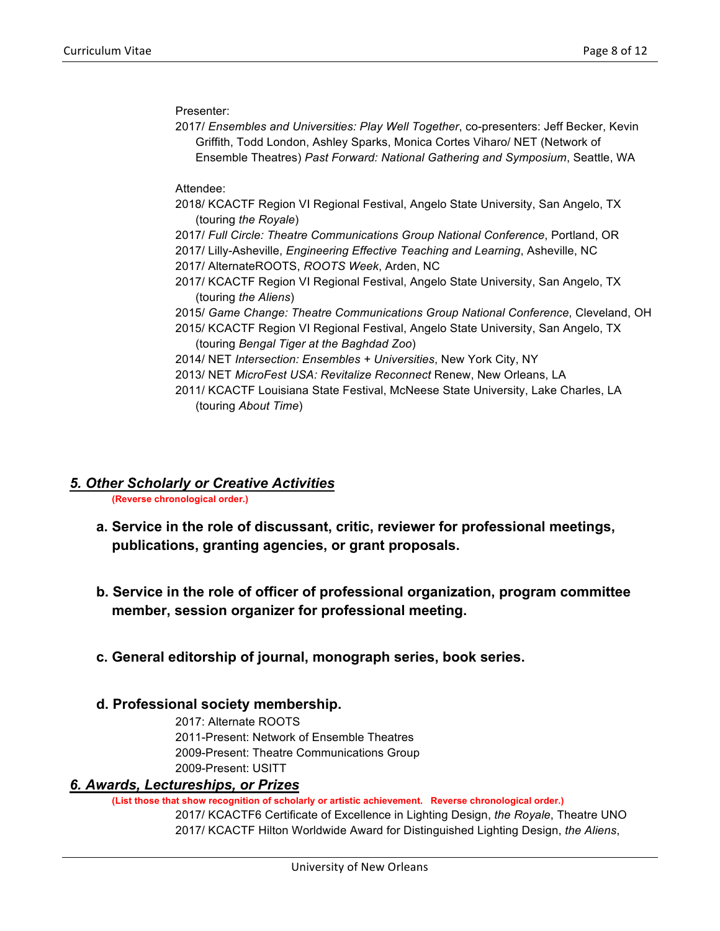Presenter:

2017/ *Ensembles and Universities: Play Well Together*, co-presenters: Jeff Becker, Kevin Griffith, Todd London, Ashley Sparks, Monica Cortes Viharo/ NET (Network of Ensemble Theatres) *Past Forward: National Gathering and Symposium*, Seattle, WA

Attendee:

- 2018/ KCACTF Region VI Regional Festival, Angelo State University, San Angelo, TX (touring *the Royale*)
- 2017/ *Full Circle: Theatre Communications Group National Conference*, Portland, OR
- 2017/ Lilly-Asheville, *Engineering Effective Teaching and Learning*, Asheville, NC 2017/ AlternateROOTS, *ROOTS Week*, Arden, NC
- 2017/ KCACTF Region VI Regional Festival, Angelo State University, San Angelo, TX (touring *the Aliens*)
- 2015/ *Game Change: Theatre Communications Group National Conference*, Cleveland, OH
- 2015/ KCACTF Region VI Regional Festival, Angelo State University, San Angelo, TX (touring *Bengal Tiger at the Baghdad Zoo*)
- 2014/ NET *Intersection: Ensembles + Universities*, New York City, NY
- 2013/ NET *MicroFest USA: Revitalize Reconnect* Renew, New Orleans, LA
- 2011/ KCACTF Louisiana State Festival, McNeese State University, Lake Charles, LA (touring *About Time*)

# *5. Other Scholarly or Creative Activities*

**(Reverse chronological order.)**

- **a. Service in the role of discussant, critic, reviewer for professional meetings, publications, granting agencies, or grant proposals.**
- **b. Service in the role of officer of professional organization, program committee member, session organizer for professional meeting.**
- **c. General editorship of journal, monograph series, book series.**

## **d. Professional society membership.**

2017: Alternate ROOTS 2011-Present: Network of Ensemble Theatres 2009-Present: Theatre Communications Group 2009-Present: USITT

# *6. Awards, Lectureships, or Prizes*

**(List those that show recognition of scholarly or artistic achievement. Reverse chronological order.)**

2017/ KCACTF6 Certificate of Excellence in Lighting Design, *the Royale*, Theatre UNO 2017/ KCACTF Hilton Worldwide Award for Distinguished Lighting Design, *the Aliens*,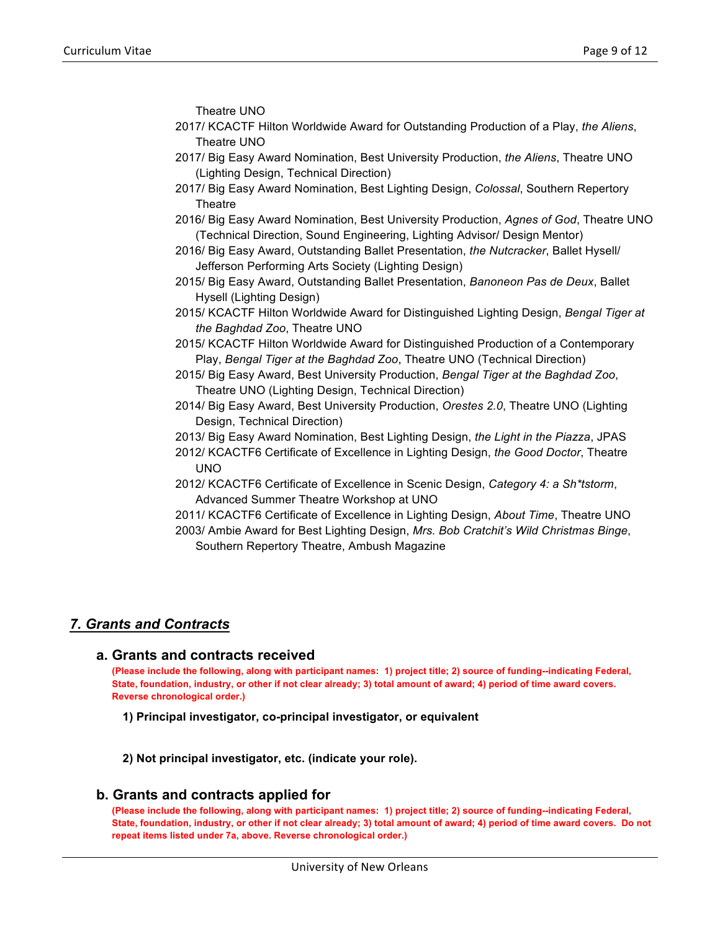Theatre UNO

- 2017/ KCACTF Hilton Worldwide Award for Outstanding Production of a Play, *the Aliens*, Theatre UNO
- 2017/ Big Easy Award Nomination, Best University Production, *the Aliens*, Theatre UNO (Lighting Design, Technical Direction)
- 2017/ Big Easy Award Nomination, Best Lighting Design, *Colossal*, Southern Repertory **Theatre**
- 2016/ Big Easy Award Nomination, Best University Production, *Agnes of God*, Theatre UNO (Technical Direction, Sound Engineering, Lighting Advisor/ Design Mentor)
- 2016/ Big Easy Award, Outstanding Ballet Presentation, *the Nutcracker*, Ballet Hysell/ Jefferson Performing Arts Society (Lighting Design)
- 2015/ Big Easy Award, Outstanding Ballet Presentation, *Banoneon Pas de Deux*, Ballet Hysell (Lighting Design)
- 2015/ KCACTF Hilton Worldwide Award for Distinguished Lighting Design, *Bengal Tiger at the Baghdad Zoo*, Theatre UNO
- 2015/ KCACTF Hilton Worldwide Award for Distinguished Production of a Contemporary Play, *Bengal Tiger at the Baghdad Zoo*, Theatre UNO (Technical Direction)
- 2015/ Big Easy Award, Best University Production, *Bengal Tiger at the Baghdad Zoo*, Theatre UNO (Lighting Design, Technical Direction)
- 2014/ Big Easy Award, Best University Production, *Orestes 2.0*, Theatre UNO (Lighting Design, Technical Direction)
- 2013/ Big Easy Award Nomination, Best Lighting Design, *the Light in the Piazza*, JPAS
- 2012/ KCACTF6 Certificate of Excellence in Lighting Design, *the Good Doctor*, Theatre UNO
- 2012/ KCACTF6 Certificate of Excellence in Scenic Design, *Category 4: a Sh\*tstorm*, Advanced Summer Theatre Workshop at UNO
- 2011/ KCACTF6 Certificate of Excellence in Lighting Design, *About Time*, Theatre UNO 2003/ Ambie Award for Best Lighting Design, *Mrs. Bob Cratchit's Wild Christmas Binge*, Southern Repertory Theatre, Ambush Magazine

# *7. Grants and Contracts*

## **a. Grants and contracts received**

**(Please include the following, along with participant names: 1) project title; 2) source of funding--indicating Federal, State, foundation, industry, or other if not clear already; 3) total amount of award; 4) period of time award covers. Reverse chronological order.)**

**1) Principal investigator, co-principal investigator, or equivalent**

**2) Not principal investigator, etc. (indicate your role).**

## **b. Grants and contracts applied for**

**(Please include the following, along with participant names: 1) project title; 2) source of funding--indicating Federal, State, foundation, industry, or other if not clear already; 3) total amount of award; 4) period of time award covers. Do not repeat items listed under 7a, above. Reverse chronological order.)**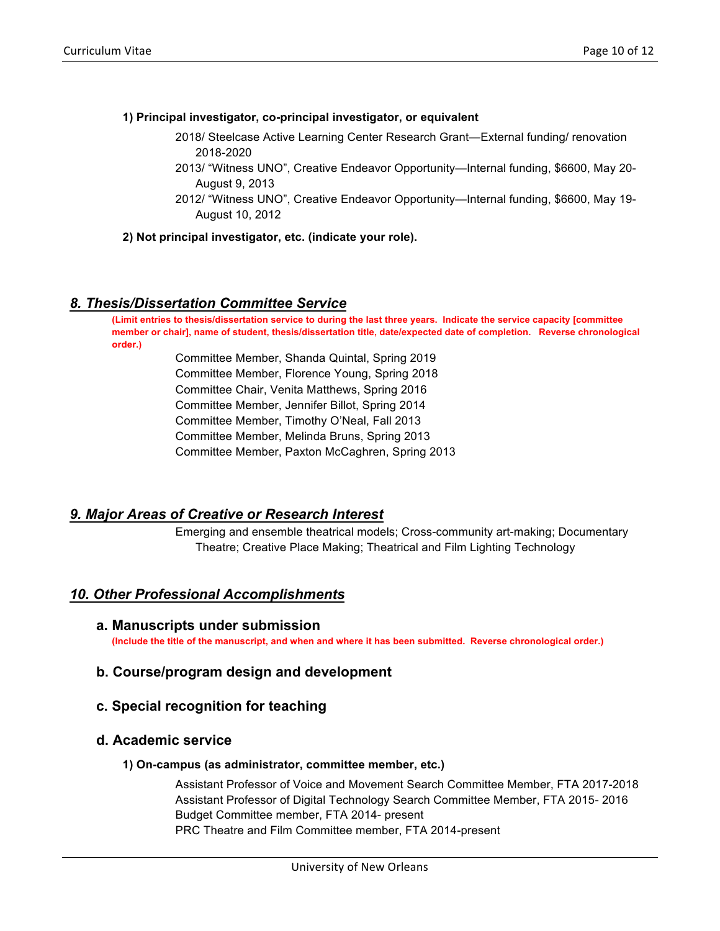#### **1) Principal investigator, co-principal investigator, or equivalent**

- 2018/ Steelcase Active Learning Center Research Grant—External funding/ renovation 2018-2020
- 2013/ "Witness UNO", Creative Endeavor Opportunity—Internal funding, \$6600, May 20- August 9, 2013
- 2012/ "Witness UNO", Creative Endeavor Opportunity—Internal funding, \$6600, May 19- August 10, 2012

**2) Not principal investigator, etc. (indicate your role).**

## *8. Thesis/Dissertation Committee Service*

**(Limit entries to thesis/dissertation service to during the last three years. Indicate the service capacity [committee member or chair], name of student, thesis/dissertation title, date/expected date of completion. Reverse chronological order.)**

> Committee Member, Shanda Quintal, Spring 2019 Committee Member, Florence Young, Spring 2018 Committee Chair, Venita Matthews, Spring 2016 Committee Member, Jennifer Billot, Spring 2014 Committee Member, Timothy O'Neal, Fall 2013 Committee Member, Melinda Bruns, Spring 2013 Committee Member, Paxton McCaghren, Spring 2013

## *9. Major Areas of Creative or Research Interest*

Emerging and ensemble theatrical models; Cross-community art-making; Documentary Theatre; Creative Place Making; Theatrical and Film Lighting Technology

## *10. Other Professional Accomplishments*

**a. Manuscripts under submission**

**(Include the title of the manuscript, and when and where it has been submitted. Reverse chronological order.)**

## **b. Course/program design and development**

## **c. Special recognition for teaching**

## **d. Academic service**

#### **1) On-campus (as administrator, committee member, etc.)**

Assistant Professor of Voice and Movement Search Committee Member, FTA 2017-2018 Assistant Professor of Digital Technology Search Committee Member, FTA 2015- 2016 Budget Committee member, FTA 2014- present PRC Theatre and Film Committee member, FTA 2014-present